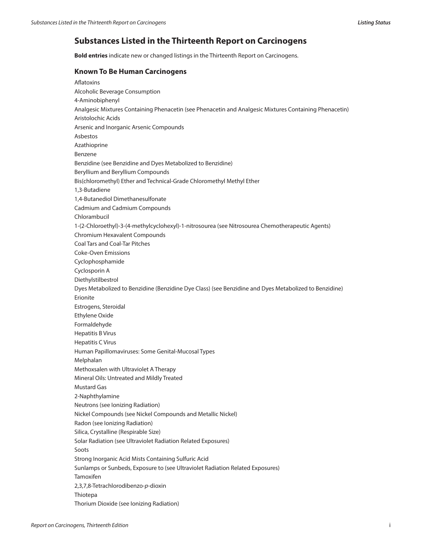## **Substances Listed in the Thirteenth Report on Carcinogens**

**Bold entries** indicate new or changed listings in the Thirteenth Report on Carcinogens.

## **Known To Be Human Carcinogens**

Aflatoxins Alcoholic Beverage Consumption 4‑Aminobiphenyl Analgesic Mixtures Containing Phenacetin (see Phenacetin and Analgesic Mixtures Containing Phenacetin) Aristolochic Acids Arsenic and Inorganic Arsenic Compounds Asbestos Azathioprine Benzene Benzidine (see Benzidine and Dyes Metabolized to Benzidine) Beryllium and Beryllium Compounds Bis(chloromethyl) Ether and Technical-Grade Chloromethyl Methyl Ether 1,3-Butadiene 1,4-Butanediol Dimethanesulfonate Cadmium and Cadmium Compounds Chlorambucil 1-(2-Chloroethyl)-3-(4-methylcyclohexyl)-1-nitrosourea (see Nitrosourea Chemotherapeutic Agents) Chromium Hexavalent Compounds Coal Tars and Coal-Tar Pitches Coke-Oven Emissions Cyclophosphamide Cyclosporin A Diethylstilbestrol Dyes Metabolized to Benzidine (Benzidine Dye Class) (see Benzidine and Dyes Metabolized to Benzidine) Erionite Estrogens, Steroidal Ethylene Oxide Formaldehyde Hepatitis B Virus Hepatitis C Virus Human Papillomaviruses: Some Genital-Mucosal Types Melphalan Methoxsalen with Ultraviolet A Therapy Mineral Oils: Untreated and Mildly Treated Mustard Gas 2-Naphthylamine Neutrons (see Ionizing Radiation) Nickel Compounds (see Nickel Compounds and Metallic Nickel) Radon (see Ionizing Radiation) Silica, Crystalline (Respirable Size) Solar Radiation (see Ultraviolet Radiation Related Exposures) Soots Strong Inorganic Acid Mists Containing Sulfuric Acid Sunlamps or Sunbeds, Exposure to (see Ultraviolet Radiation Related Exposures) Tamoxifen 2,3,7,8-Tetrachlorodibenzo-*p*-dioxin Thiotepa Thorium Dioxide (see Ionizing Radiation)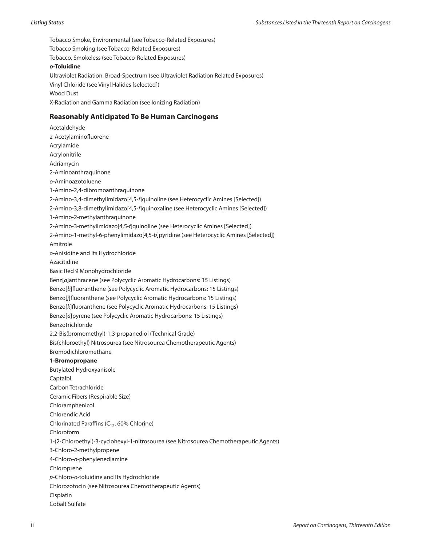Tobacco Smoke, Environmental (see Tobacco-Related Exposures) Tobacco Smoking (see Tobacco-Related Exposures) Tobacco, Smokeless (see Tobacco-Related Exposures) *o***‑Toluidine** Ultraviolet Radiation, Broad-Spectrum (see Ultraviolet Radiation Related Exposures) Vinyl Chloride (see Vinyl Halides [selected]) Wood Dust X-Radiation and Gamma Radiation (see Ionizing Radiation)

## **Reasonably Anticipated To Be Human Carcinogens**

Acetaldehyde 2‑Acetylaminofluorene Acrylamide Acrylonitrile Adriamycin 2‑Aminoanthraquinone *o‑*Aminoazotoluene 1-Amino-2,4-dibromoanthraquinone 2‑Amino-3,4-dimethylimidazo[4,5‑*f*]quinoline (see Heterocyclic Amines [Selected]) 2‑Amino-3,8-dimethylimidazo[4,5‑*f*]quinoxaline (see Heterocyclic Amines [Selected]) 1‑Amino-2-methylanthraquinone 2‑Amino-3-methylimidazo[4,5‑*f*]quinoline (see Heterocyclic Amines [Selected]) 2‑Amino-1-methyl-6-phenylimidazo[4,5‑*b*]pyridine (see Heterocyclic Amines [Selected]) Amitrole *o*-Anisidine and Its Hydrochloride Azacitidine Basic Red 9 Monohydrochloride Benz[*a*]anthracene (see Polycyclic Aromatic Hydrocarbons: 15 Listings) Benzo[*b*]fluoranthene (see Polycyclic Aromatic Hydrocarbons: 15 Listings) Benzo[*j*]fluoranthene (see Polycyclic Aromatic Hydrocarbons: 15 Listings) Benzo[*k*]fluoranthene (see Polycyclic Aromatic Hydrocarbons: 15 Listings) Benzo[*a*]pyrene (see Polycyclic Aromatic Hydrocarbons: 15 Listings) Benzotrichloride 2,2-Bis(bromomethyl)-1,3-propanediol (Technical Grade) Bis(chloroethyl) Nitrosourea (see Nitrosourea Chemotherapeutic Agents) Bromodichloromethane **1-Bromopropane** Butylated Hydroxyanisole Captafol Carbon Tetrachloride Ceramic Fibers (Respirable Size) Chloramphenicol Chlorendic Acid Chlorinated Paraffins ( $C_{12}$ , 60% Chlorine) Chloroform 1-(2-Chloroethyl)-3-cyclohexyl-1-nitrosourea (see Nitrosourea Chemotherapeutic Agents) 3-Chloro-2-methylpropene 4-Chloro-*o*-phenylenediamine Chloroprene *p*-Chloro-*o*-toluidine and Its Hydrochloride Chlorozotocin (see Nitrosourea Chemotherapeutic Agents) Cisplatin Cobalt Sulfate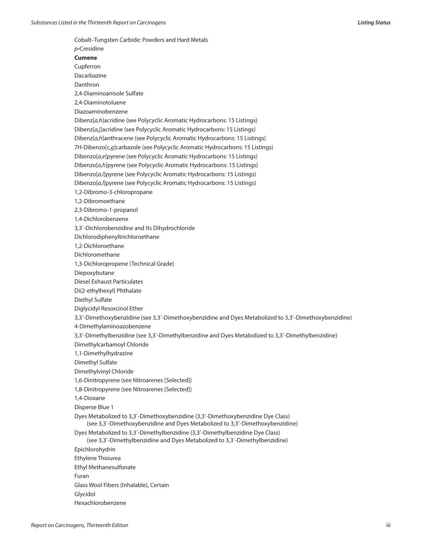Cobalt–Tungsten Carbide: Powders and Hard Metals *p‑*Cresidine **Cumene** Cupferron Dacarbazine Danthron 2,4‑Diaminoanisole Sulfate 2,4‑Diaminotoluene Diazoaminobenzene Dibenz[*a,h*]acridine (see Polycyclic Aromatic Hydrocarbons: 15 Listings) Dibenz[*a,j*]acridine (see Polycyclic Aromatic Hydrocarbons: 15 Listings) Dibenz[*a,h*]anthracene (see Polycyclic Aromatic Hydrocarbons: 15 Listings) 7H-Dibenzo[*c,g*]carbazole (see Polycyclic Aromatic Hydrocarbons: 15 Listings) Dibenzo[*a,e*]pyrene (see Polycyclic Aromatic Hydrocarbons: 15 Listings) Dibenzo[*a,h*]pyrene (see Polycyclic Aromatic Hydrocarbons: 15 Listings) Dibenzo[*a,i*]pyrene (see Polycyclic Aromatic Hydrocarbons: 15 Listings) Dibenzo[*a,l*]pyrene (see Polycyclic Aromatic Hydrocarbons: 15 Listings) 1,2-Dibromo-3-chloropropane 1,2-Dibromoethane 2,3-Dibromo-1-propanol 1,4-Dichlorobenzene 3,3′-Dichlorobenzidine and Its Dihydrochloride Dichlorodiphenyltrichloroethane 1,2-Dichloroethane Dichloromethane 1,3-Dichloropropene (Technical Grade) Diepoxybutane Diesel Exhaust Particulates Di(2-ethylhexyl) Phthalate Diethyl Sulfate Diglycidyl Resorcinol Ether 3,3′-Dimethoxybenzidine (see 3,3′-Dimethoxybenzidine and Dyes Metabolized to 3,3′-Dimethoxybenzidine) 4‑Dimethylaminoazobenzene 3,3′-Dimethylbenzidine (see 3,3′-Dimethylbenzidine and Dyes Metabolized to 3,3′-Dimethylbenzidine) Dimethylcarbamoyl Chloride 1,1‑Dimethylhydrazine Dimethyl Sulfate Dimethylvinyl Chloride 1,6-Dinitropyrene (see Nitroarenes [Selected]) 1,8-Dinitropyrene (see Nitroarenes [Selected]) 1,4-Dioxane Disperse Blue 1 Dyes Metabolized to 3,3′-Dimethoxybenzidine (3,3′-Dimethoxybenzidine Dye Class) (see 3,3′-Dimethoxybenzidine and Dyes Metabolized to 3,3′-Dimethoxybenzidine) Dyes Metabolized to 3,3′-Dimethylbenzidine (3,3′-Dimethylbenzidine Dye Class) (see 3,3′-Dimethylbenzidine and Dyes Metabolized to 3,3′-Dimethylbenzidine) Epichlorohydrin Ethylene Thiourea Ethyl Methanesulfonate Furan Glass Wool Fibers (Inhalable), Certain Glycidol Hexachlorobenzene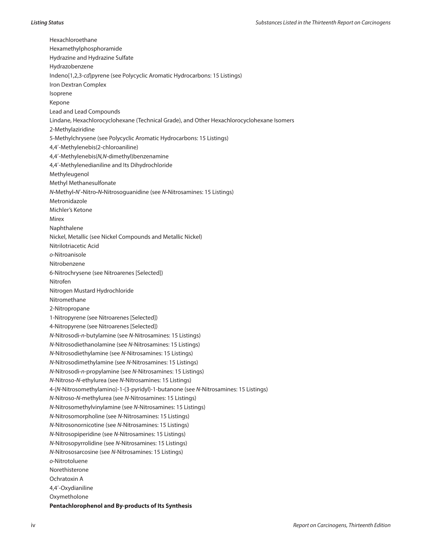Hexachloroethane Hexamethylphosphoramide Hydrazine and Hydrazine Sulfate Hydrazobenzene Indeno[1,2,3-*cd*]pyrene (see Polycyclic Aromatic Hydrocarbons: 15 Listings) Iron Dextran Complex Isoprene Kepone Lead and Lead Compounds Lindane, Hexachlorocyclohexane (Technical Grade), and Other Hexachlorocyclohexane Isomers 2-Methylaziridine 5-Methylchrysene (see Polycyclic Aromatic Hydrocarbons: 15 Listings) 4,4′-Methylenebis(2-chloroaniline) 4,4′-Methylenebis(*N,N-*dimethyl)benzenamine 4,4′‑Methylenedianiline and Its Dihydrochloride Methyleugenol Methyl Methanesulfonate *N-*Methyl*-N*′*-*Nitro*-N-*Nitrosoguanidine (see *N-*Nitrosamines: 15 Listings) Metronidazole Michler's Ketone Mirex Naphthalene Nickel, Metallic (see Nickel Compounds and Metallic Nickel) Nitrilotriacetic Acid *o*-Nitroanisole Nitrobenzene 6-Nitrochrysene (see Nitroarenes [Selected]) Nitrofen Nitrogen Mustard Hydrochloride Nitromethane 2-Nitropropane 1-Nitropyrene (see Nitroarenes [Selected]) 4-Nitropyrene (see Nitroarenes [Selected]) *N*-Nitrosodi-*n*-butylamine (see *N*-Nitrosamines: 15 Listings) *N*-Nitrosodiethanolamine (see *N*-Nitrosamines: 15 Listings) *N*-Nitrosodiethylamine (see *N*-Nitrosamines: 15 Listings) *N*-Nitrosodimethylamine (see *N*-Nitrosamines: 15 Listings) *N*-Nitrosodi-*n*-propylamine (see *N*-Nitrosamines: 15 Listings) *N*-Nitroso-*N*-ethylurea (see *N*-Nitrosamines: 15 Listings) 4-(*N*-Nitrosomethylamino)-1-(3-pyridyl)-1-butanone (see *N*-Nitrosamines: 15 Listings) *N*-Nitroso-*N*-methylurea (see *N*-Nitrosamines: 15 Listings) *N*-Nitrosomethylvinylamine (see *N*-Nitrosamines: 15 Listings) *N*-Nitrosomorpholine (see *N*-Nitrosamines: 15 Listings) *N*-Nitrosonornicotine (see *N*-Nitrosamines: 15 Listings) *N*-Nitrosopiperidine (see *N*-Nitrosamines: 15 Listings) *N*-Nitrosopyrrolidine (see *N*-Nitrosamines: 15 Listings) *N*-Nitrososarcosine (see *N*-Nitrosamines: 15 Listings) *o*-Nitrotoluene Norethisterone Ochratoxin A 4,4′‑Oxydianiline Oxymetholone **Pentachlorophenol and By-products of Its Synthesis**